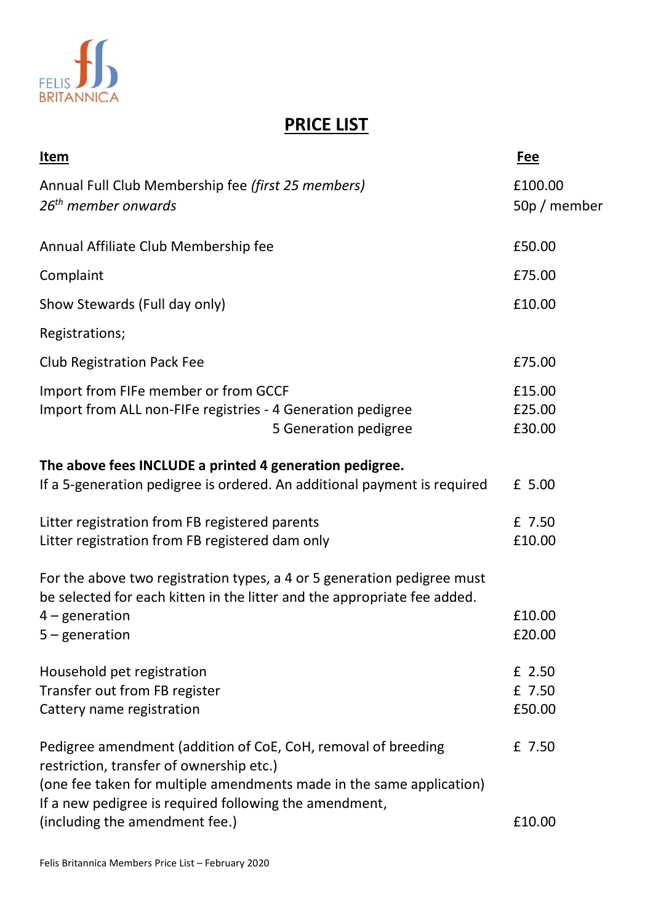

## **PRICE LIST**

| <u>Item</u>                                                                                                                                                                                                                                 | <b>Fee</b>                 |
|---------------------------------------------------------------------------------------------------------------------------------------------------------------------------------------------------------------------------------------------|----------------------------|
| Annual Full Club Membership fee (first 25 members)<br>26 <sup>th</sup> member onwards                                                                                                                                                       | £100.00<br>50p / member    |
| Annual Affiliate Club Membership fee                                                                                                                                                                                                        | £50.00                     |
| Complaint                                                                                                                                                                                                                                   | £75.00                     |
| Show Stewards (Full day only)                                                                                                                                                                                                               | £10.00                     |
| Registrations;                                                                                                                                                                                                                              |                            |
| <b>Club Registration Pack Fee</b>                                                                                                                                                                                                           | £75.00                     |
| Import from FIFe member or from GCCF<br>Import from ALL non-FIFe registries - 4 Generation pedigree<br>5 Generation pedigree                                                                                                                | £15.00<br>£25.00<br>£30.00 |
| The above fees INCLUDE a printed 4 generation pedigree.<br>If a 5-generation pedigree is ordered. An additional payment is required                                                                                                         | £ 5.00                     |
| Litter registration from FB registered parents<br>Litter registration from FB registered dam only                                                                                                                                           | £ 7.50<br>£10.00           |
| For the above two registration types, a 4 or 5 generation pedigree must<br>be selected for each kitten in the litter and the appropriate fee added.<br>$4$ – generation                                                                     | £10.00                     |
| $5$ – generation                                                                                                                                                                                                                            | £20.00                     |
| Household pet registration<br>Transfer out from FB register<br>Cattery name registration                                                                                                                                                    | £ 2.50<br>£ 7.50<br>£50.00 |
| Pedigree amendment (addition of CoE, CoH, removal of breeding<br>restriction, transfer of ownership etc.)<br>(one fee taken for multiple amendments made in the same application)<br>If a new pedigree is required following the amendment, | £ 7.50                     |
| (including the amendment fee.)                                                                                                                                                                                                              | £10.00                     |